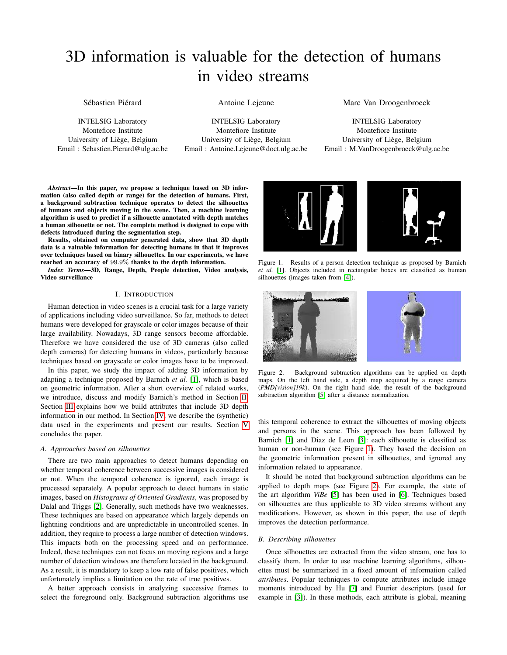# 3D information is valuable for the detection of humans in video streams

Sébastien Piérard

INTELSIG Laboratory Montefiore Institute University of Liège, Belgium Email : Sebastien.Pierard@ulg.ac.be Antoine Lejeune

INTELSIG Laboratory Montefiore Institute University of Liège, Belgium Email : Antoine.Lejeune@doct.ulg.ac.be Marc Van Droogenbroeck

INTELSIG Laboratory Montefiore Institute University of Liège, Belgium Email : M.VanDroogenbroeck@ulg.ac.be

*Abstract*—In this paper, we propose a technique based on 3D information (also called depth or range) for the detection of humans. First, a background subtraction technique operates to detect the silhouettes of humans and objects moving in the scene. Then, a machine learning algorithm is used to predict if a silhouette annotated with depth matches a human silhouette or not. The complete method is designed to cope with defects introduced during the segmentation step.

Results, obtained on computer generated data, show that 3D depth data is a valuable information for detecting humans in that it improves over techniques based on binary silhouettes. In our experiments, we have reached an accuracy of 99.9% thanks to the depth information.

*Index Terms*—3D, Range, Depth, People detection, Video analysis, Video surveillance

## I. INTRODUCTION

Human detection in video scenes is a crucial task for a large variety of applications including video surveillance. So far, methods to detect humans were developed for grayscale or color images because of their large availability. Nowadays, 3D range sensors become affordable. Therefore we have considered the use of 3D cameras (also called depth cameras) for detecting humans in videos, particularly because techniques based on grayscale or color images have to be improved.

In this paper, we study the impact of adding 3D information by adapting a technique proposed by Barnich *et al.* [\[1\]](#page-3-0), which is based on geometric information. After a short overview of related works, we introduce, discuss and modify Barnich's method in Section [II.](#page-1-0) Section [III](#page-1-1) explains how we build attributes that include 3D depth information in our method. In Section [IV,](#page-2-0) we describe the (synthetic) data used in the experiments and present our results. Section [V](#page-3-1) concludes the paper.

#### *A. Approaches based on silhouettes*

There are two main approaches to detect humans depending on whether temporal coherence between successive images is considered or not. When the temporal coherence is ignored, each image is processed separately. A popular approach to detect humans in static images, based on *Histograms of Oriented Gradients*, was proposed by Dalal and Triggs [\[2\]](#page-3-2). Generally, such methods have two weaknesses. These techniques are based on appearance which largely depends on lightning conditions and are unpredictable in uncontrolled scenes. In addition, they require to process a large number of detection windows. This impacts both on the processing speed and on performance. Indeed, these techniques can not focus on moving regions and a large number of detection windows are therefore located in the background. As a result, it is mandatory to keep a low rate of false positives, which unfortunately implies a limitation on the rate of true positives.

A better approach consists in analyzing successive frames to select the foreground only. Background subtraction algorithms use



Figure 1. Results of a person detection technique as proposed by Barnich *et al.* [\[1\]](#page-3-0). Objects included in rectangular boxes are classified as human silhouettes (images taken from [\[4\]](#page-3-3)).

<span id="page-0-0"></span>

Figure 2. Background subtraction algorithms can be applied on depth maps. On the left hand side, a depth map acquired by a range camera (*PMD[vision]19k*). On the right hand side, the result of the background subtraction algorithm [\[5\]](#page-3-4) after a distance normalization.

<span id="page-0-1"></span>this temporal coherence to extract the silhouettes of moving objects and persons in the scene. This approach has been followed by Barnich [\[1\]](#page-3-0) and Diaz de Leon [\[3\]](#page-3-5): each silhouette is classified as human or non-human (see Figure [1\)](#page-0-0). They based the decision on the geometric information present in silhouettes, and ignored any information related to appearance.

It should be noted that background subtraction algorithms can be applied to depth maps (see Figure [2\)](#page-0-1). For example, the state of the art algorithm *ViBe* [\[5\]](#page-3-4) has been used in [\[6\]](#page-3-6). Techniques based on silhouettes are thus applicable to 3D video streams without any modifications. However, as shown in this paper, the use of depth improves the detection performance.

## *B. Describing silhouettes*

Once silhouettes are extracted from the video stream, one has to classify them. In order to use machine learning algorithms, silhouettes must be summarized in a fixed amount of information called *attributes*. Popular techniques to compute attributes include image moments introduced by Hu [\[7\]](#page-3-7) and Fourier descriptors (used for example in [\[3\]](#page-3-5)). In these methods, each attribute is global, meaning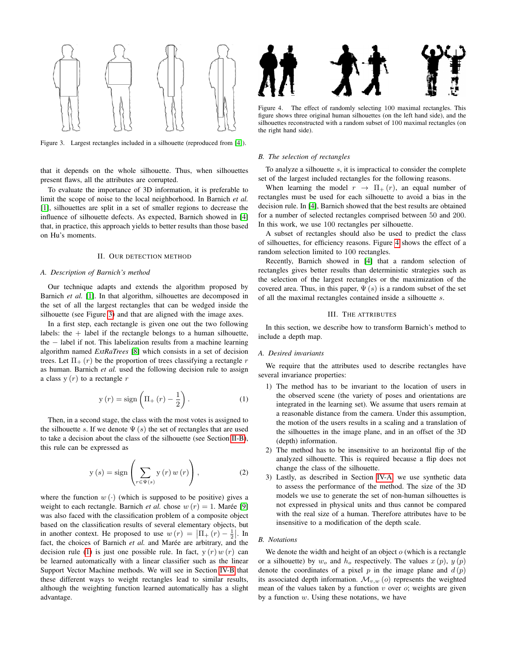

<span id="page-1-2"></span>Figure 3. Largest rectangles included in a silhouette (reproduced from [\[4\]](#page-3-3)).

that it depends on the whole silhouette. Thus, when silhouettes present flaws, all the attributes are corrupted.

To evaluate the importance of 3D information, it is preferable to limit the scope of noise to the local neighborhood. In Barnich *et al.* [\[1\]](#page-3-0), silhouettes are split in a set of smaller regions to decrease the influence of silhouette defects. As expected, Barnich showed in [\[4\]](#page-3-3) that, in practice, this approach yields to better results than those based on Hu's moments.

## II. OUR DETECTION METHOD

#### <span id="page-1-0"></span>*A. Description of Barnich's method*

Our technique adapts and extends the algorithm proposed by Barnich *et al.* [\[1\]](#page-3-0). In that algorithm, silhouettes are decomposed in the set of all the largest rectangles that can be wedged inside the silhouette (see Figure [3\)](#page-1-2) and that are aligned with the image axes.

In a first step, each rectangle is given one out the two following labels: the  $+$  label if the rectangle belongs to a human silhouette, the − label if not. This labelization results from a machine learning algorithm named *ExtRaTrees* [\[8\]](#page-3-8) which consists in a set of decision trees. Let  $\Pi_{+}(r)$  be the proportion of trees classifying a rectangle r as human. Barnich *et al.* used the following decision rule to assign a class  $y(r)$  to a rectangle r

<span id="page-1-4"></span>
$$
y(r) = sign\left(\Pi_{+}(r) - \frac{1}{2}\right). \tag{1}
$$

Then, in a second stage, the class with the most votes is assigned to the silhouette s. If we denote  $\Psi(s)$  the set of rectangles that are used to take a decision about the class of the silhouette (see Section [II-B\)](#page-1-3), this rule can be expressed as

$$
y(s) = sign\left(\sum_{r \in \Psi(s)} y(r) w(r)\right),\tag{2}
$$

where the function  $w(\cdot)$  (which is supposed to be positive) gives a weight to each rectangle. Barnich *et al.* chose  $w(r) = 1$ . Marée [\[9\]](#page-3-9) was also faced with the classification problem of a composite object based on the classification results of several elementary objects, but in another context. He proposed to use  $w(r) = |\Pi_+(r) - \frac{1}{2}|$ . In fact, the choices of Barnich *et al.* and Marée are arbitrary, and the decision rule [\(1\)](#page-1-4) is just one possible rule. In fact,  $y(r) w(r)$  can be learned automatically with a linear classifier such as the linear Support Vector Machine methods. We will see in Section [IV-B](#page-2-1) that these different ways to weight rectangles lead to similar results, although the weighting function learned automatically has a slight advantage.



<span id="page-1-5"></span>Figure 4. The effect of randomly selecting 100 maximal rectangles. This figure shows three original human silhouettes (on the left hand side), and the silhouettes reconstructed with a random subset of 100 maximal rectangles (on the right hand side).

#### <span id="page-1-3"></span>*B. The selection of rectangles*

To analyze a silhouette s, it is impractical to consider the complete set of the largest included rectangles for the following reasons.

When learning the model  $r \rightarrow \Pi_{+}(r)$ , an equal number of rectangles must be used for each silhouette to avoid a bias in the decision rule. In [\[4\]](#page-3-3), Barnich showed that the best results are obtained for a number of selected rectangles comprised between 50 and 200. In this work, we use 100 rectangles per silhouette.

A subset of rectangles should also be used to predict the class of silhouettes, for efficiency reasons. Figure [4](#page-1-5) shows the effect of a random selection limited to 100 rectangles.

Recently, Barnich showed in [\[4\]](#page-3-3) that a random selection of rectangles gives better results than deterministic strategies such as the selection of the largest rectangles or the maximization of the covered area. Thus, in this paper,  $\Psi(s)$  is a random subset of the set of all the maximal rectangles contained inside a silhouette s.

## III. THE ATTRIBUTES

<span id="page-1-1"></span>In this section, we describe how to transform Barnich's method to include a depth map.

#### *A. Desired invariants*

We require that the attributes used to describe rectangles have several invariance properties:

- 1) The method has to be invariant to the location of users in the observed scene (the variety of poses and orientations are integrated in the learning set). We assume that users remain at a reasonable distance from the camera. Under this assumption, the motion of the users results in a scaling and a translation of the silhouettes in the image plane, and in an offset of the 3D (depth) information.
- 2) The method has to be insensitive to an horizontal flip of the analyzed silhouette. This is required because a flip does not change the class of the silhouette.
- 3) Lastly, as described in Section [IV-A,](#page-2-2) we use synthetic data to assess the performance of the method. The size of the 3D models we use to generate the set of non-human silhouettes is not expressed in physical units and thus cannot be compared with the real size of a human. Therefore attributes have to be insensitive to a modification of the depth scale.

## *B. Notations*

We denote the width and height of an object  $o$  (which is a rectangle or a silhouette) by  $w<sub>o</sub>$  and  $h<sub>o</sub>$  respectively. The values  $x(p)$ ,  $y(p)$ denote the coordinates of a pixel p in the image plane and  $d(p)$ its associated depth information.  $\mathcal{M}_{v,w}$  (o) represents the weighted mean of the values taken by a function  $v$  over  $o$ ; weights are given by a function  $w$ . Using these notations, we have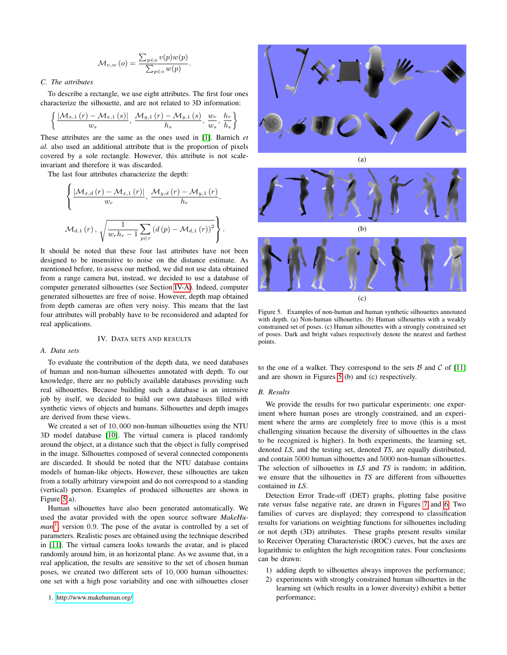$$
\mathcal{M}_{v,w}\left(o\right) = \frac{\sum_{p \in o} v(p) w(p)}{\sum_{p \in o} w(p)}.
$$

# *C. The attributes*

To describe a rectangle, we use eight attributes. The first four ones characterize the silhouette, and are not related to 3D information:

$$
\left\{\frac{\left|\mathcal{M}_{x,1}\left(r\right)-\mathcal{M}_{x,1}\left(s\right)\right|}{w_s},\,\frac{\mathcal{M}_{y,1}\left(r\right)-\mathcal{M}_{y,1}\left(s\right)}{h_s},\,\frac{w_r}{w_s},\,\frac{h_r}{h_s}\right\}
$$

These attributes are the same as the ones used in [\[1\]](#page-3-0). Barnich *et al.* also used an additional attribute that is the proportion of pixels covered by a sole rectangle. However, this attribute is not scaleinvariant and therefore it was discarded.

The last four attributes characterize the depth:

$$
\left\{\frac{\left|\mathcal{M}_{x,d}\left(r\right)-\mathcal{M}_{x,1}\left(r\right)\right|}{w_r},\,\frac{\mathcal{M}_{y,d}\left(r\right)-\mathcal{M}_{y,1}\left(r\right)}{h_r},\right\}\mathcal{M}_{d,1}\left(r\right),\sqrt{\frac{1}{w_rh_r-1}\sum_{p\in r}\left(d\left(p\right)-\mathcal{M}_{d,1}\left(r\right)\right)^2}\right\}.
$$

It should be noted that these four last attributes have not been designed to be insensitive to noise on the distance estimate. As mentioned before, to assess our method, we did not use data obtained from a range camera but, instead, we decided to use a database of computer generated silhouettes (see Section [IV-A\)](#page-2-2). Indeed, computer generated silhouettes are free of noise. However, depth map obtained from depth cameras are often very noisy. This means that the last four attributes will probably have to be reconsidered and adapted for real applications.

#### IV. DATA SETS AND RESULTS

## <span id="page-2-2"></span><span id="page-2-0"></span>*A. Data sets*

To evaluate the contribution of the depth data, we need databases of human and non-human silhouettes annotated with depth. To our knowledge, there are no publicly available databases providing such real silhouettes. Because building such a database is an intensive job by itself, we decided to build our own databases filled with synthetic views of objects and humans. Silhouettes and depth images are derived from these views.

We created a set of 10,000 non-human silhouettes using the NTU 3D model database [\[10\]](#page-3-10). The virtual camera is placed randomly around the object, at a distance such that the object is fully comprised in the image. Silhouettes composed of several connected components are discarded. It should be noted that the NTU database contains models of human-like objects. However, these silhouettes are taken from a totally arbitrary viewpoint and do not correspond to a standing (vertical) person. Examples of produced silhouettes are shown in Figure [5\(](#page-2-3)a).

<span id="page-2-4"></span>Human silhouettes have also been generated automatically. We used the avatar provided with the open source software *MakeHu-*man<sup>[1](#page-2-4)</sup>, version 0.9. The pose of the avatar is controlled by a set of parameters. Realistic poses are obtained using the technique described in [\[11\]](#page-3-11). The virtual camera looks towards the avatar, and is placed randomly around him, in an horizontal plane. As we assume that, in a real application, the results are sensitive to the set of chosen human poses, we created two different sets of 10, 000 human silhouettes: one set with a high pose variability and one with silhouettes closer





<span id="page-2-3"></span>Figure 5. Examples of non-human and human synthetic silhouettes annotated with depth. (a) Non-human silhouettes. (b) Human silhouettes with a weakly constrained set of poses. (c) Human silhouettes with a strongly constrained set of poses. Dark and bright values respectively denote the nearest and farthest points.

to the one of a walker. They correspond to the sets  $\beta$  and  $\beta$  of [\[11\]](#page-3-11) and are shown in Figures [5](#page-2-3) (b) and (c) respectively.

## <span id="page-2-1"></span>*B. Results*

We provide the results for two particular experiments: one experiment where human poses are strongly constrained, and an experiment where the arms are completely free to move (this is a most challenging situation because the diversity of silhouettes in the class to be recognized is higher). In both experiments, the learning set, denoted *LS*, and the testing set, denoted *TS*, are equally distributed, and contain 5000 human silhouettes and 5000 non-human silhouettes. The selection of silhouettes in *LS* and *TS* is random; in addition, we ensure that the silhouettes in *TS* are different from silhouettes contained in *LS*.

Detection Error Trade-off (DET) graphs, plotting false positive rate versus false negative rate, are drawn in Figures [7](#page-3-12) and [6.](#page-3-13) Two families of curves are displayed; they correspond to classification results for variations on weighting functions for silhouettes including or not depth (3D) attributes. These graphs present results similar to Receiver Operating Characteristic (ROC) curves, but the axes are logarithmic to enlighten the high recognition rates. Four conclusions can be drawn:

- 1) adding depth to silhouettes always improves the performance;
- 2) experiments with strongly constrained human silhouettes in the learning set (which results in a lower diversity) exhibit a better performance;